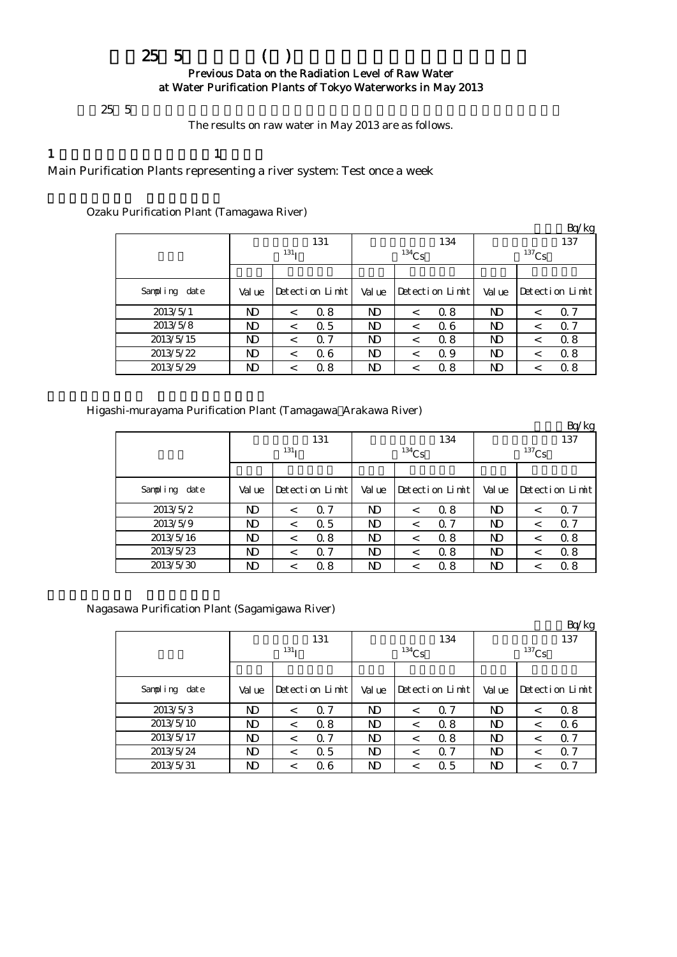## $25 \t5$  ( ) Previous Data on the Radiation Level of Raw Water at Water Purification Plants of Tokyo Waterworks in May 2013

 $25\;5$ 

The results on raw water in May 2013 are as follows.

1  $\qquad \qquad 1$ 

Main Purification Plants representing a river system: Test once a week

|                  |                  |         |                 |        |          |                 |          |         | Bq/kg           |  |
|------------------|------------------|---------|-----------------|--------|----------|-----------------|----------|---------|-----------------|--|
|                  |                  |         | 131             |        |          | 134             | 137      |         |                 |  |
|                  | 131 <sub>T</sub> |         |                 |        | $134$ Cs |                 | $137$ Cs |         |                 |  |
|                  |                  |         |                 |        |          |                 |          |         |                 |  |
| Sampling<br>date | Val ue           |         | Detection Limit | Val ue |          | Detection Limit | Val ue   |         | Detection Limit |  |
| 2013/5/1         | ND               | $\,<\,$ | 0.8             | ND     | $\,<\,$  | 0.8             | ND       | $\,<\,$ | 0.7             |  |
| 2013/5/8         | ND               | $\,<\,$ | 0.5             | ND     | $\,<\,$  | 06              | ND       | $\,<\,$ | 0.7             |  |
| 2013/5/15        | ND               | $\,<\,$ | 0.7             | ND     | $\,<\,$  | 0.8             | ND       | $\,<\,$ | 0.8             |  |
| 2013/5/22        | ND               | $\,<\,$ | 06              | ND     | $\,<\,$  | 0.9             | ND       | $\,<\,$ | 0.8             |  |
| 2013/5/29        | ND               | $\,<\,$ | 0.8             | ND     | $\,<$    | 0.8             | ND       | $\,<\,$ | 0.8             |  |

Ozaku Purification Plant (Tamagawa River)

Higashi-murayama Purification Plant (Tamagawa Arakawa River)

|               |        |                  |                 |                |          |                 |          |         | Bq/kg           |  |
|---------------|--------|------------------|-----------------|----------------|----------|-----------------|----------|---------|-----------------|--|
|               |        |                  | 131             |                |          | 134             | 137      |         |                 |  |
|               |        | 131 <sub>T</sub> |                 |                | $134$ Cs |                 | $137$ Cs |         |                 |  |
|               |        |                  |                 |                |          |                 |          |         |                 |  |
| Sampling date | Val ue |                  | Detection Limit | Val ue         |          | Detection Limit | Val ue   |         | Detection Limit |  |
| 2013/5/2      | ND     | $\,<\,$          | $\Omega$ 7      | N <sub>D</sub> | $\,<\,$  | 0.8             | ND       | $\,<\,$ | 0.7             |  |
| 2013/5/9      | ND     | $\,<\,$          | 0.5             | ND.            | $\,<\,$  | $\Omega$ 7      | ND       | $\,<\,$ | 0.7             |  |
| 2013/5/16     | ND     | $\,<\,$          | 0.8             | N <sub>D</sub> | $\,<\,$  | 0.8             | ND       | $\,<\,$ | 0.8             |  |
| 2013/5/23     | ND     | $\,<\,$          | Q 7             | N <sub>D</sub> | $\,<\,$  | 0.8             | ND       | $\,<\,$ | 0.8             |  |
| 2013/5/30     | ND     | $\,<\,$          | 0.8             | ND             | <        | 0.8             | ND       | $\,<\,$ | 0.8             |  |

Nagasawa Purification Plant (Sagamigawa River)

|               |        |                  |                 |                |          |                 |          |         | Bq/kg           |  |
|---------------|--------|------------------|-----------------|----------------|----------|-----------------|----------|---------|-----------------|--|
|               |        |                  | 131             |                |          | 134             | 137      |         |                 |  |
|               |        | 131 <sub>T</sub> |                 |                | $134$ Cs |                 | $137$ Cs |         |                 |  |
|               |        |                  |                 |                |          |                 |          |         |                 |  |
| Sampling date | Val ue |                  | Detection Limit | Val ue         |          | Detection Limit | Val ue   |         | Detection Limit |  |
| 2013/5/3      | ND     | $\,<\,$          | 0.7             | N <sub>D</sub> | $\,<\,$  | $\Omega$ 7      | ND       | $\,<\,$ | 0.8             |  |
| 2013/5/10     | ND     | $\,<\,$          | 0.8             | ND.            | $\,<\,$  | 0.8             | ND       | $\,<\,$ | 0.6             |  |
| 2013/5/17     | ND     | $\,<\,$          | 0.7             | ND.            | $\,<\,$  | 0.8             | ND       | $\,<\,$ | 0.7             |  |
| 2013/5/24     | ND     | $\,<\,$          | 0.5             | N <sub>D</sub> | $\,<\,$  | $\Omega$ 7      | ND       | $\,<\,$ | 0.7             |  |
| 2013/5/31     | ND     | ≺                | 06              | ND             | $\,<\,$  | 0.5             | ND       | $\,<\,$ | Q 7             |  |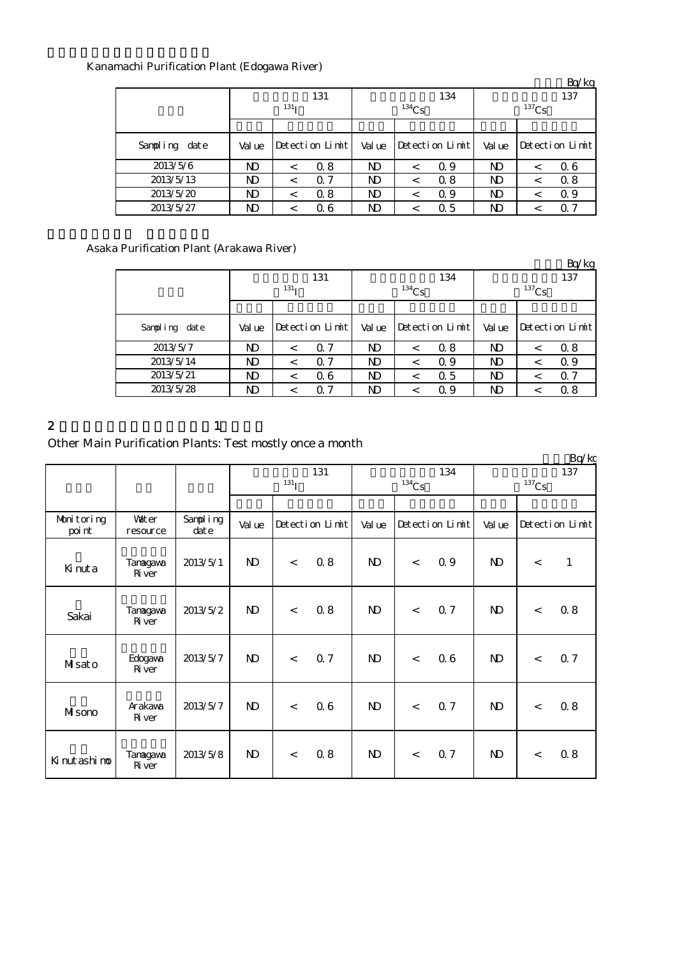# Kanamachi Purification Plant (Edogawa River)

|                  |                  |         |                 |                |            |                 |          |         | Bq/kg           |  |
|------------------|------------------|---------|-----------------|----------------|------------|-----------------|----------|---------|-----------------|--|
|                  |                  |         | 131             |                |            | 134             | 137      |         |                 |  |
|                  | 131 <sub>T</sub> |         |                 |                | $^{134}Cs$ |                 | $137$ Cs |         |                 |  |
|                  |                  |         |                 |                |            |                 |          |         |                 |  |
| Sampling<br>date | Val ue           |         | Detection Limit | Val ue         |            | Detection Limit | Val ue   |         | Detection Limit |  |
| 2013/5/6         | ND               | $\,<\,$ | 0.8             | <b>ND</b>      | $\,<\,$    | Q 9             | ND       | $\,<\,$ | 0.6             |  |
| 2013/5/13        | ND               | $\,<\,$ | Q 7             | N <sub>D</sub> | $\,<\,$    | 0.8             | ND       | $\,<\,$ | 0.8             |  |
| 2013/5/20        | ND               | $\,<\,$ | 0.8             | ND.            | $\,<\,$    | Q 9             | ND       | $\,<\,$ | Q 9             |  |
| 2013/5/27        | ND               | $\,<\,$ | 06              | ND             | <          | 0.5             | ND       | <       | 0. 7            |  |

## Asaka Purification Plant (Arakawa River)

|               |        |                  |                 |    |            |                 |            |         | Bq/kg           |  |
|---------------|--------|------------------|-----------------|----|------------|-----------------|------------|---------|-----------------|--|
|               |        |                  | 131             |    |            | 134             | 137        |         |                 |  |
|               |        | 131 <sub>T</sub> |                 |    | $^{134}Cs$ |                 | $^{137}Cs$ |         |                 |  |
|               |        |                  |                 |    |            |                 |            |         |                 |  |
| Sampling date | Val ue |                  | Detection Limit |    |            | Detection Limit | Val ue     |         | Detection Limit |  |
| 2013/5/7      | ND     | $\,<\,$          | 0.7             | ND | $\,<\,$    | 0.8             | ND         | $\,<\,$ | 0.8             |  |
| 2013/5/14     | ND     | $\,<\,$          | 0.7             | ND | $\prec$    | Q 9             | ND         | $\,<\,$ | Q 9             |  |
| 2013/5/21     | ND     | <                | 06              | ND | $\,<$      | 0.5             | ND         | $\,<$   | 0.7             |  |
| 2013/5/28     | ND     | <                | 0.7             | ND | $\,<$      | 0.9             | ND         |         | 0.8             |  |

#### 2 and  $\lambda$  1

# Other Main Purification Plants: Test mostly once a month

|                      |                          |                   |                         |       |                 |              |          |                 |                            |       | Bq/kg           |
|----------------------|--------------------------|-------------------|-------------------------|-------|-----------------|--------------|----------|-----------------|----------------------------|-------|-----------------|
|                      |                          |                   | 131<br>131 <sub>I</sub> |       |                 |              | $134$ Cs | 134             | 137<br>$^{137}\mathrm{Cs}$ |       |                 |
|                      |                          |                   |                         |       |                 |              |          |                 |                            |       |                 |
| Monitoring<br>poi nt | Vater<br>resource        | Sampling<br>dat e | Val ue                  |       | Detection Limit | Val ue       |          | Detection Limit | Val ue                     |       | Detection Limit |
| Kinuta               | Tanagawa<br><b>R</b> ver | 2013/5/1          | $\mathbf{D}$            | $\lt$ | 0.8             | $\mathbf{D}$ | $\lt$    | 0.9             | $\mathbf{D}$               | $\lt$ | $\mathbf{1}$    |
| Sakai                | Tanagawa<br><b>R</b> ver | 2013/5/2          | N)                      | $\,<$ | 0.8             | $\mathbf{D}$ | $\lt$    | 0.7             | $\mathbf{D}$               | $\,<$ | 0.8             |
| Misato               | Edogava<br><b>R</b> ver  | 2013/5/7          | $\mathbf{D}$            | $\lt$ | 0.7             | $\mathbf{D}$ | $\lt$    | 06              | $\mathbf{D}$               | $\,<$ | 0.7             |
| Misono               | Arakawa<br>River         | 2013/5/7          | ND.                     | $\,<$ | 0.6             | $\mathbf{D}$ | $\lt$    | 0.7             | $\mathbf{N}$               | $\lt$ | 0.8             |
| Kinutashimo          | Tanagawa<br>$\rm R$ ver  | 2013/5/8          | $\mathbf{D}$            | $\,<$ | 0.8             | $\mathbf{D}$ | $\lt$    | Q 7             | $\mathbf{D}$               | $\lt$ | 0.8             |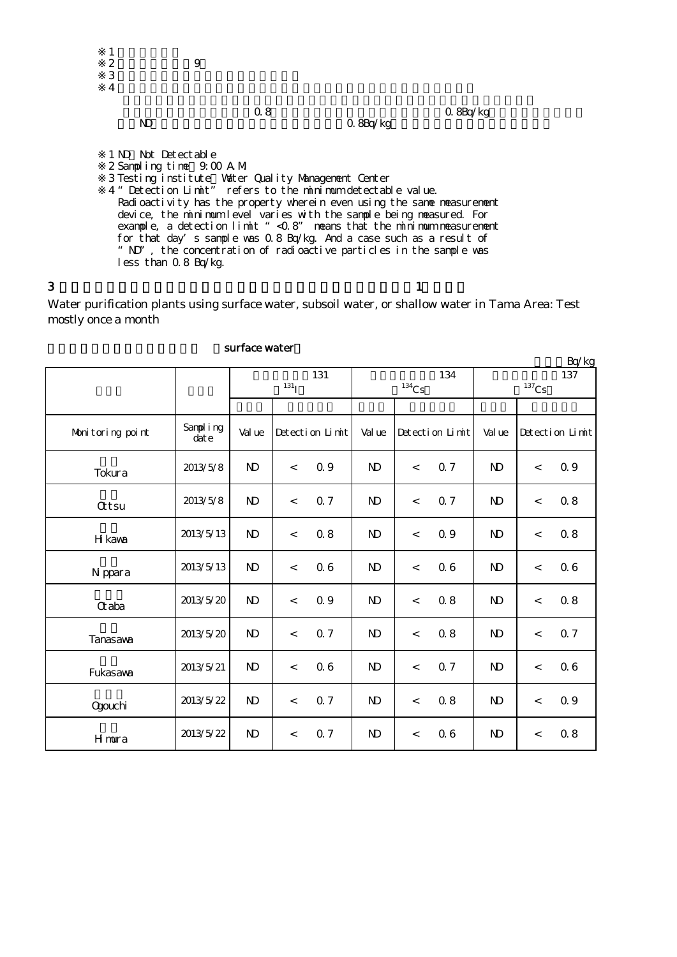

Water purification plants using surface water, subsoil water, or shallow water in Tama Area: Test mostly once a month

| Bq/kg            |                  |                         |                          |                 |                |                |                 |                |       |                 |  |  |  |
|------------------|------------------|-------------------------|--------------------------|-----------------|----------------|----------------|-----------------|----------------|-------|-----------------|--|--|--|
|                  |                  | 131<br>131 <sub>I</sub> |                          |                 | $134$ Cs       | 134            | 137<br>$137$ Cs |                |       |                 |  |  |  |
| Monitoring point | Sampling<br>date | Val ue                  |                          | Detection Limit | Val ue         |                | Detection Limit | Val ue         |       | Detection Limit |  |  |  |
| Tokura           | 2013/5/8         | $\mathbf{N}$            | $\overline{\phantom{a}}$ | 0.9             | N <sub>D</sub> | $\overline{a}$ | <b>Q7</b>       | N <sub>D</sub> | $\,<$ | 0.9             |  |  |  |
| <b>Qtsu</b>      | 2013/5/8         | $\mathbf{N}$            | $\,<$                    | 0.7             | N <sub>D</sub> | $\,<\,$        | Q 7             | N <sub>D</sub> | $\,<$ | 0.8             |  |  |  |
| H kawa           | 2013/5/13        | $\mathbf{N}$            | $\,<$                    | 0.8             | $\mathbf{N}$   | $\,<$          | Q 9             | N <sub>D</sub> | $\,<$ | 0.8             |  |  |  |
| N ppara          | 2013/5/13        | $\mathbf{N}$            | $\,<$                    | 06              | N <sub>D</sub> | $\,<\,$        | 06              | N <sub>D</sub> | $\,<$ | 06              |  |  |  |
| Ctaba            | 2013/5/20        | $\mathbf{N}$            | $\,<$                    | 0.9             | N <sub>D</sub> | $\,<\,$        | 0.8             | N <sub>D</sub> | $\,<$ | 0.8             |  |  |  |
| <b>Tanasaya</b>  | 2013/5/20        | N <sub>D</sub>          | $\,<$                    | 0.7             | N <sub>D</sub> | $\,<\,$        | 0.8             | N <sub>D</sub> | $\,<$ | 0.7             |  |  |  |
| Fukasava         | 2013/5/21        | $\mathbf{N}$            | $\,<$                    | 0.6             | N <sub>D</sub> | $\,<\,$        | Q 7             | N <sub>D</sub> | $\,<$ | 0.6             |  |  |  |
| <b>Ogouchi</b>   | 2013/5/22        | $\mathbf{N}$            | $\,<$                    | 0.7             | $\mathbf{N}$   | $\lt$          | 0.8             | $\mathbf{N}$   | $\,<$ | 0.9             |  |  |  |
| Hmura            | 2013/5/22        | $\mathbf{N}$            | $\,<\,$                  | 0.7             | N <sub>D</sub> | $\lt$          | 06              | $\mathbf{N}$   | $\,<$ | $0.8\,$         |  |  |  |

#### surface water